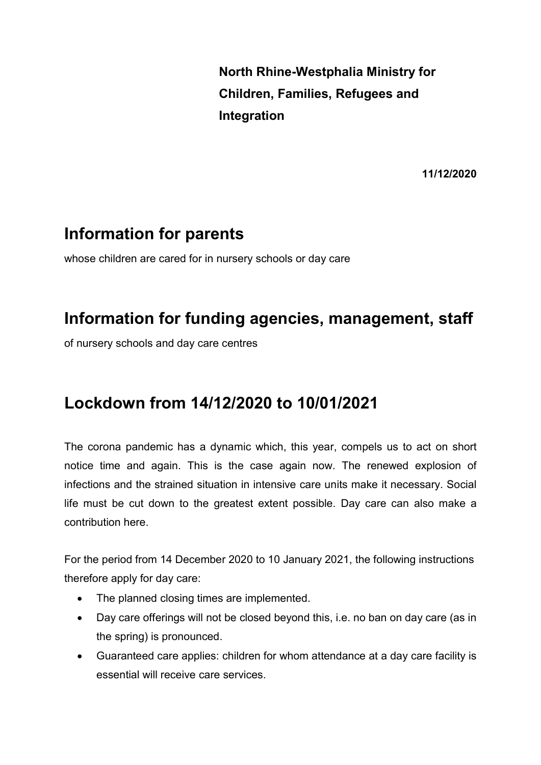North Rhine-Westphalia Ministry for Children, Families, Refugees and Integration

11/12/2020

## Information for parents

whose children are cared for in nursery schools or day care

## Information for funding agencies, management, staff

of nursery schools and day care centres

## Lockdown from 14/12/2020 to 10/01/2021

The corona pandemic has a dynamic which, this year, compels us to act on short notice time and again. This is the case again now. The renewed explosion of infections and the strained situation in intensive care units make it necessary. Social life must be cut down to the greatest extent possible. Day care can also make a contribution here.

For the period from 14 December 2020 to 10 January 2021, the following instructions therefore apply for day care:

- The planned closing times are implemented.
- Day care offerings will not be closed beyond this, i.e. no ban on day care (as in the spring) is pronounced.
- Guaranteed care applies: children for whom attendance at a day care facility is essential will receive care services.